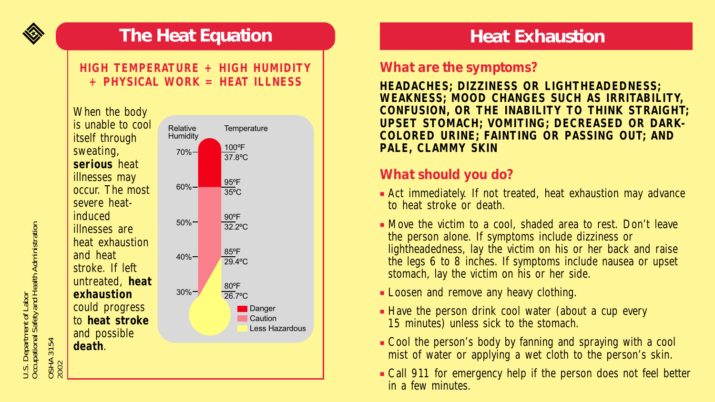

# **The Heat Equation**

#### **HIGH TEMPERATURE + HIGH HUMIDITY + PHYSICAL WORK = HEAT ILLNESS**



# **Heat Exhaustion**

### *What are the symptoms?*

**HEADACHES; DIZZINESS OR LIGHTHEADEDNESS; WEAKNESS; MOOD CHANGES SUCH AS IRRITABILITY, CONFUSION, OR THE INABILITY TO THINK STRAIGHT; UPSET STOMACH; VOMITING; DECREASED OR DARK-COLORED URINE; FAINTING OR PASSING OUT; AND PALE, CLAMMY SKIN**

## *What should you do?*

- Act immediately. If not treated, heat exhaustion may advance to heat stroke or death.
- Move the victim to a cool, shaded area to rest. Don't leave the person alone. If symptoms include dizziness or lightheadedness, lay the victim on his or her back and raise the legs 6 to 8 inches. If symptoms include nausea or upset stomach, lay the victim on his or her side.
- Loosen and remove any heavy clothing.
- Have the person drink cool water (about a cup every 15 minutes) unless sick to the stomach.
- Cool the person's body by fanning and spraying with a cool mist of water or applying a wet cloth to the person's skin.
- Call 911 for emergency help if the person does not feel better in a few minutes.

U.S. Department of Labor<br>Occupational Safety and Health Administration Occupational Safety and Health Administration U.S. Department of Labor

OSHA 3154 OSHA 3154<br>2002